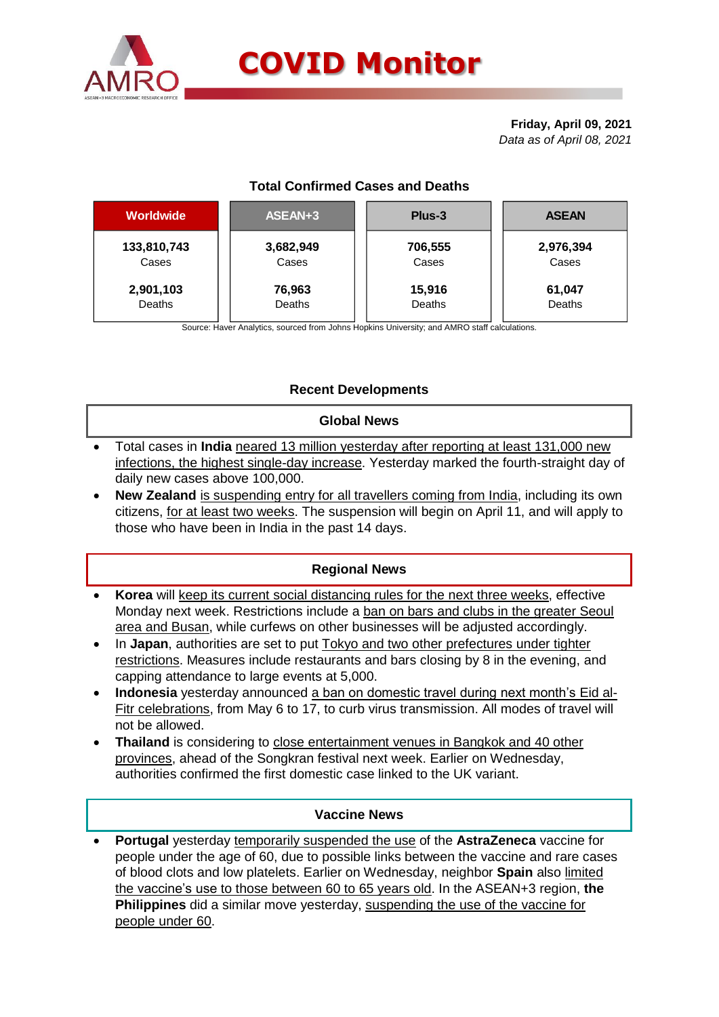

# **Total Confirmed Cases and Deaths**

| <b>Worldwide</b> | ASEAN+3   | Plus-3  | <b>ASEAN</b> |
|------------------|-----------|---------|--------------|
| 133,810,743      | 3,682,949 | 706,555 | 2,976,394    |
| Cases            | Cases     | Cases   | Cases        |
| 2,901,103        | 76,963    | 15,916  | 61,047       |
| Deaths           | Deaths    | Deaths  | Deaths       |

Source: Haver Analytics, sourced from Johns Hopkins University; and AMRO staff calculations.

# **Recent Developments**

#### **Global News**

- Total cases in **India** neared 13 million yesterday after reporting at least 131,000 new infections, the highest single-day increase. Yesterday marked the fourth-straight day of daily new cases above 100,000.
- **New Zealand** is suspending entry for all travellers coming from India, including its own citizens, for at least two weeks. The suspension will begin on April 11, and will apply to those who have been in India in the past 14 days.

# **Regional News**

- **Korea** will keep its current social distancing rules for the next three weeks, effective Monday next week. Restrictions include a ban on bars and clubs in the greater Seoul area and Busan, while curfews on other businesses will be adjusted accordingly.
- In **Japan**, authorities are set to put Tokyo and two other prefectures under tighter restrictions. Measures include restaurants and bars closing by 8 in the evening, and capping attendance to large events at 5,000.
- **Indonesia** yesterday announced a ban on domestic travel during next month's Eid al-Fitr celebrations, from May 6 to 17, to curb virus transmission. All modes of travel will not be allowed.
- **Thailand** is considering to close entertainment venues in Bangkok and 40 other provinces, ahead of the Songkran festival next week. Earlier on Wednesday, authorities confirmed the first domestic case linked to the UK variant.

#### **Vaccine News**

 **Portugal** yesterday temporarily suspended the use of the **AstraZeneca** vaccine for people under the age of 60, due to possible links between the vaccine and rare cases of blood clots and low platelets. Earlier on Wednesday, neighbor **Spain** also limited the vaccine's use to those between 60 to 65 years old. In the ASEAN+3 region, **the Philippines** did a similar move yesterday, suspending the use of the vaccine for people under 60.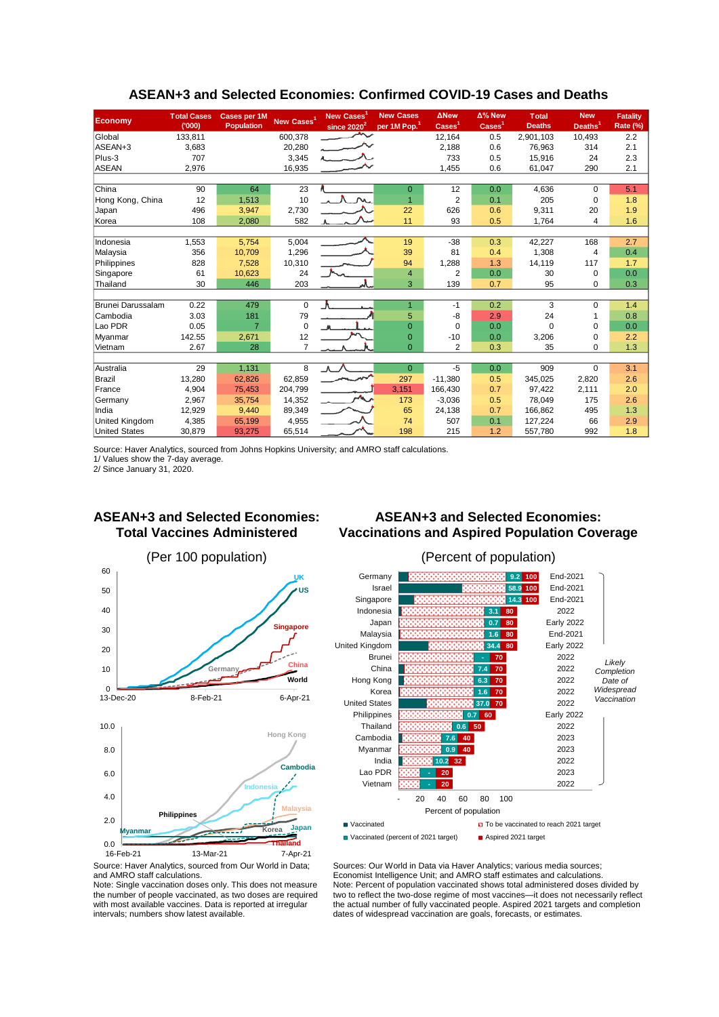| <b>Economy</b>       | <b>Total Cases</b><br>(000) | Cases per 1M<br><b>Population</b> | New Cases <sup>1</sup> | New Cases <sup>1</sup><br>since $2020^2$ | <b>New Cases</b><br>per 1M Pop. <sup>1</sup> | <b>ANew</b><br>$\text{Case}^1$ | Δ% New<br>$\text{Case}^1$ | <b>Total</b><br><b>Deaths</b> | <b>New</b><br>Deaths <sup>1</sup> | <b>Fatality</b><br>Rate (%) |
|----------------------|-----------------------------|-----------------------------------|------------------------|------------------------------------------|----------------------------------------------|--------------------------------|---------------------------|-------------------------------|-----------------------------------|-----------------------------|
| Global               | 133,811                     |                                   | 600,378                |                                          |                                              | 12,164                         | 0.5                       | 2,901,103                     | 10,493                            | 2.2                         |
| ASEAN+3              | 3,683                       |                                   | 20,280                 |                                          |                                              | 2,188                          | 0.6                       | 76.963                        | 314                               | 2.1                         |
| Plus-3               | 707                         |                                   | 3,345                  |                                          |                                              | 733                            | 0.5                       | 15.916                        | 24                                | 2.3                         |
| <b>ASEAN</b>         | 2,976                       |                                   | 16,935                 |                                          |                                              | 1,455                          | 0.6                       | 61,047                        | 290                               | 2.1                         |
|                      |                             |                                   |                        |                                          |                                              |                                |                           |                               |                                   |                             |
| China                | 90                          | 64                                | 23                     |                                          | $\mathbf{0}$                                 | 12                             | 0.0                       | 4,636                         | $\Omega$                          | 5.1                         |
| Hong Kong, China     | 12                          | 1,513                             | 10                     |                                          | $\overline{1}$                               | $\overline{2}$                 | 0.1                       | 205                           | $\mathbf 0$                       | 1.8                         |
| Japan                | 496                         | 3,947                             | 2,730                  |                                          | 22                                           | 626                            | 0.6                       | 9,311                         | 20                                | 1.9                         |
| Korea                | 108                         | 2,080                             | 582                    |                                          | 11                                           | 93                             | 0.5                       | 1,764                         | 4                                 | 1.6                         |
|                      |                             |                                   |                        |                                          |                                              |                                |                           |                               |                                   |                             |
| Indonesia            | 1,553                       | 5,754                             | 5,004                  |                                          | 19                                           | $-38$                          | 0.3                       | 42,227                        | 168                               | 2.7                         |
| Malaysia             | 356                         | 10,709                            | 1,296                  |                                          | 39                                           | 81                             | 0.4                       | 1,308                         | $\overline{4}$                    | 0.4                         |
| Philippines          | 828                         | 7,528                             | 10,310                 |                                          | 94                                           | 1,288                          | 1.3                       | 14,119                        | 117                               | 1.7                         |
| Singapore            | 61                          | 10,623                            | 24                     |                                          | $\overline{4}$                               | 2                              | 0.0                       | 30                            | 0                                 | 0.0                         |
| Thailand             | 30                          | 446                               | 203                    |                                          | 3                                            | 139                            | 0.7                       | 95                            | 0                                 | 0.3                         |
|                      |                             |                                   |                        |                                          |                                              |                                |                           |                               |                                   |                             |
| Brunei Darussalam    | 0.22                        | 479                               | $\mathbf 0$            | Λ                                        | 1                                            | $-1$                           | 0.2                       | 3                             | $\Omega$                          | 1.4                         |
| Cambodia             | 3.03                        | 181                               | 79                     |                                          | 5                                            | $-8$                           | 2.9                       | 24                            | 1                                 | 0.8                         |
| Lao PDR              | 0.05                        | $\overline{7}$                    | $\mathbf 0$            |                                          | $\overline{0}$                               | $\Omega$                       | 0.0                       | $\Omega$                      | $\Omega$                          | 0.0                         |
| Myanmar              | 142.55                      | 2,671                             | 12                     |                                          | $\overline{0}$                               | $-10$                          | 0.0                       | 3,206                         | 0                                 | 2.2                         |
| Vietnam              | 2.67                        | 28                                | $\overline{7}$         |                                          | $\Omega$                                     | $\overline{2}$                 | 0.3                       | 35                            | 0                                 | 1.3                         |
|                      |                             |                                   |                        |                                          |                                              |                                |                           |                               |                                   |                             |
| Australia            | 29                          | 1,131                             | 8                      | $\overline{\mathcal{N}}$                 | $\mathbf{0}$                                 | $-5$                           | 0.0                       | 909                           | $\mathbf 0$                       | 3.1                         |
| <b>Brazil</b>        | 13,280                      | 62,826                            | 62,859                 |                                          | 297                                          | $-11,380$                      | 0.5                       | 345,025                       | 2,820                             | 2.6                         |
| France               | 4,904                       | 75,453                            | 204,799                | $\mathcal{A}_{\mathbf{a}}$               | 3.151                                        | 166,430                        | 0.7                       | 97.422                        | 2,111                             | 2.0                         |
| Germany              | 2,967                       | 35,754                            | 14,352                 |                                          | 173                                          | $-3,036$                       | 0.5                       | 78.049                        | 175                               | 2.6                         |
| India                | 12,929                      | 9,440                             | 89,349                 |                                          | 65                                           | 24,138                         | 0.7                       | 166.862                       | 495                               | 1.3                         |
| United Kingdom       | 4,385                       | 65,199                            | 4,955                  |                                          | 74                                           | 507                            | 0.1                       | 127,224                       | 66                                | 2.9                         |
| <b>United States</b> | 30,879                      | 93,275                            | 65,514                 |                                          | 198                                          | 215                            | 1.2                       | 557,780                       | 992                               | 1.8                         |

#### **ASEAN+3 and Selected Economies: Confirmed COVID-19 Cases and Deaths**

Source: Haver Analytics, sourced from Johns Hopkins University; and AMRO staff calculations.

1/ Values show the 7-day average.

2/ Since January 31, 2020.

# **ASEAN+3 and Selected Economies: Total Vaccines Administered**

#### **ASEAN+3 and Selected Economies: Vaccinations and Aspired Population Coverage**





and AMRO staff calculations. Note: Single vaccination doses only. This does not measure the number of people vaccinated, as two doses are required

with most available vaccines. Data is reported at irregular

intervals; numbers show latest available.

Sources: Our World in Data via Haver Analytics; various media sources; Economist Intelligence Unit; and AMRO staff estimates and calculations. Note: Percent of population vaccinated shows total administered doses divided by two to reflect the two-dose regime of most vaccines—it does not necessarily reflect the actual number of fully vaccinated people. Aspired 2021 targets and completion dates of widespread vaccination are goals, forecasts, or estimates.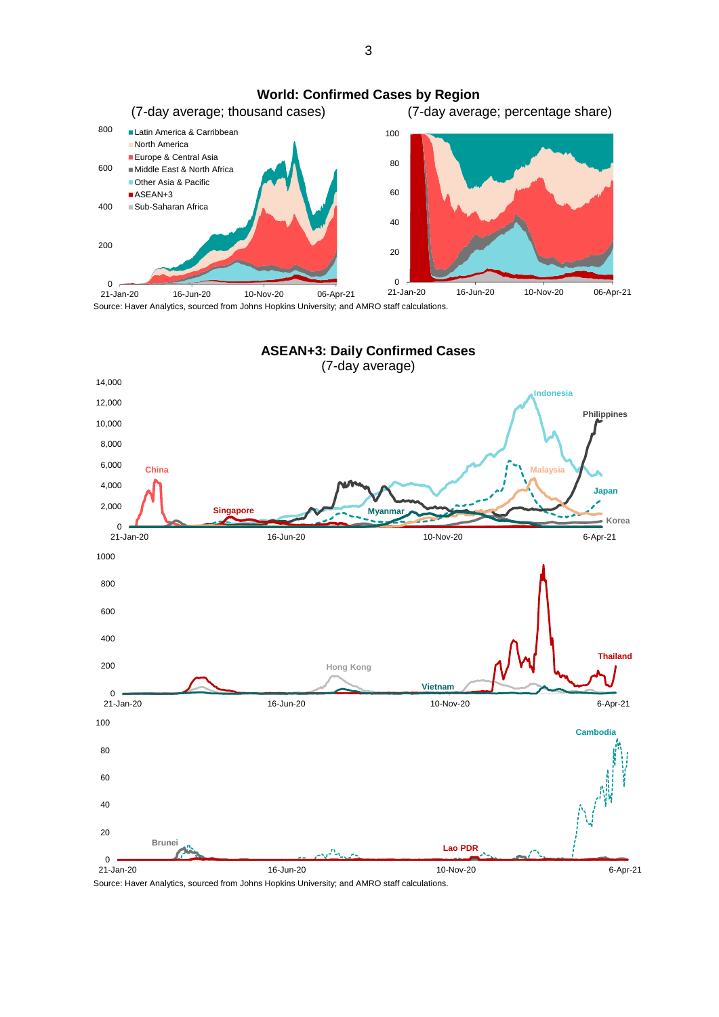

Source: Haver Analytics, sourced from Johns Hopkins University; and AMRO staff calculations. 21-Jan-20 16-Jun-20 10-Nov-20 06-Apr-21



Source: Haver Analytics, sourced from Johns Hopkins University; and AMRO staff calculations.